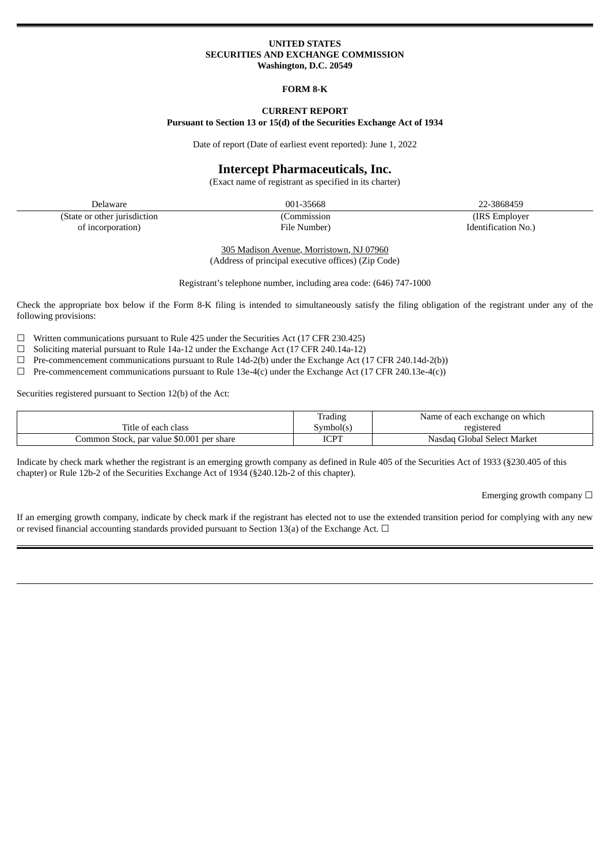### **UNITED STATES SECURITIES AND EXCHANGE COMMISSION Washington, D.C. 20549**

#### **FORM 8-K**

#### **CURRENT REPORT Pursuant to Section 13 or 15(d) of the Securities Exchange Act of 1934**

Date of report (Date of earliest event reported): June 1, 2022

## **Intercept Pharmaceuticals, Inc.**

(Exact name of registrant as specified in its charter)

Delaware 001-35668 22-3868459 (State or other jurisdiction (Commission (IRS Employer of incorporation) File Number) Identification No.)

305 Madison Avenue, Morristown, NJ 07960 (Address of principal executive offices) (Zip Code)

Registrant's telephone number, including area code: (646) 747-1000

Check the appropriate box below if the Form 8-K filing is intended to simultaneously satisfy the filing obligation of the registrant under any of the following provisions:

 $\Box$  Written communications pursuant to Rule 425 under the Securities Act (17 CFR 230.425)

- ☐ Soliciting material pursuant to Rule 14a-12 under the Exchange Act (17 CFR 240.14a-12)
- $\Box$  Pre-commencement communications pursuant to Rule 14d-2(b) under the Exchange Act (17 CFR 240.14d-2(b))
- $\Box$  Pre-commencement communications pursuant to Rule 13e-4(c) under the Exchange Act (17 CFR 240.13e-4(c))

Securities registered pursuant to Section 12(b) of the Act:

|                                           | <b>Trading</b> | Name of each exchange on which |
|-------------------------------------------|----------------|--------------------------------|
| Title of each class                       | symbol(s       | registered                     |
| Common Stock, par value \$0.001 per share | <b>ICPT</b>    | Nasdag Global Select Market    |

Indicate by check mark whether the registrant is an emerging growth company as defined in Rule 405 of the Securities Act of 1933 (§230.405 of this chapter) or Rule 12b-2 of the Securities Exchange Act of 1934 (§240.12b-2 of this chapter).

Emerging growth company  $\Box$ 

If an emerging growth company, indicate by check mark if the registrant has elected not to use the extended transition period for complying with any new or revised financial accounting standards provided pursuant to Section 13(a) of the Exchange Act.  $\Box$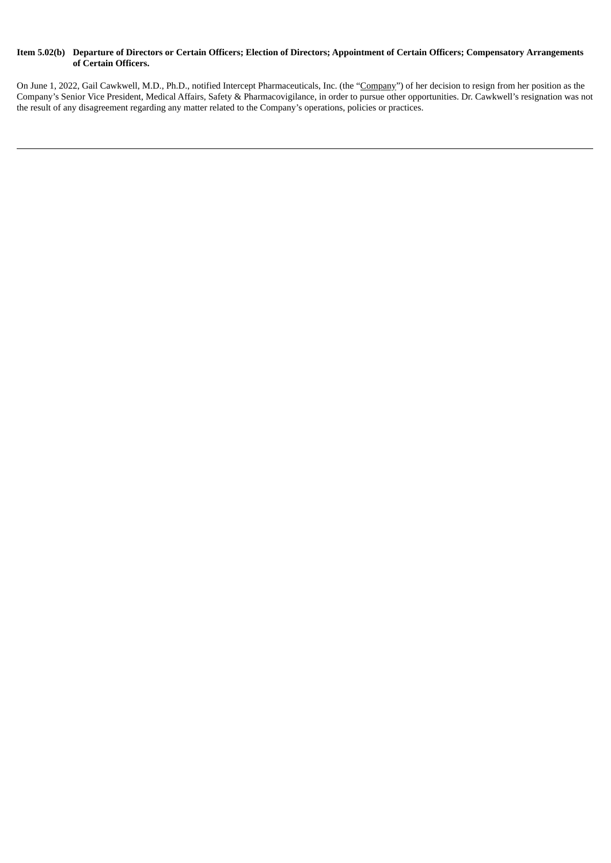### Item 5.02(b) Departure of Directors or Certain Officers; Election of Directors; Appointment of Certain Officers; Compensatory Arrangements **of Certain Officers.**

On June 1, 2022, Gail Cawkwell, M.D., Ph.D., notified Intercept Pharmaceuticals, Inc. (the "Company") of her decision to resign from her position as the Company's Senior Vice President, Medical Affairs, Safety & Pharmacovigilance, in order to pursue other opportunities. Dr. Cawkwell's resignation was not the result of any disagreement regarding any matter related to the Company's operations, policies or practices.